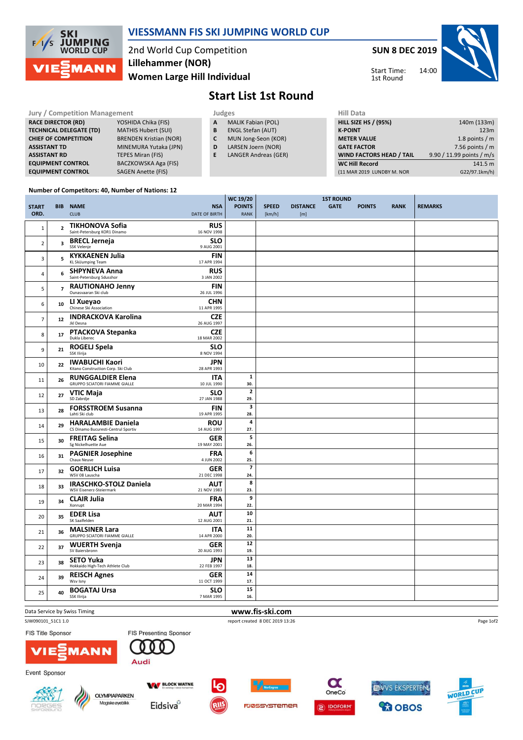

### VIESSMANN FIS SKI JUMPING WORLD CUP

2nd World Cup Competition Women Large Hill Individual Lillehammer (NOR)

SUN 8 DEC 2019 14:00 Start Time: 1st Round



# Start List 1st Round

| <b>Jury / Competition Management</b> |                               |   | Judges                    | <b>Hill Data</b>                |                           |  |  |
|--------------------------------------|-------------------------------|---|---------------------------|---------------------------------|---------------------------|--|--|
| <b>RACE DIRECTOR (RD)</b>            | YOSHIDA Chika (FIS)           | A | <b>MALIK Fabian (POL)</b> | <b>HILL SIZE HS / (95%)</b>     | 140m (133m)               |  |  |
| <b>TECHNICAL DELEGATE (TD)</b>       | <b>MATHIS Hubert (SUI)</b>    | В | <b>ENGL Stefan (AUT)</b>  | <b>K-POINT</b>                  | 123m                      |  |  |
| <b>CHIEF OF COMPETITION</b>          | <b>BRENDEN Kristian (NOR)</b> | C | MUN Jong-Seon (KOR)       | <b>METER VALUE</b>              | 1.8 points / $m$          |  |  |
| <b>ASSISTANT TD</b>                  | MINEMURA Yutaka (JPN)         | D | LARSEN Joern (NOR)        | <b>GATE FACTOR</b>              | 7.56 points $/m$          |  |  |
| <b>ASSISTANT RD</b>                  | TEPES Miran (FIS)             | Е | LANGER Andreas (GER)      | <b>WIND FACTORS HEAD / TAIL</b> | 9.90 / 11.99 points / m/s |  |  |
| <b>EQUIPMENT CONTROL</b>             | BACZKOWSKA Aga (FIS)          |   |                           | <b>WC Hill Record</b>           | 141.5 m                   |  |  |
| <b>EQUIPMENT CONTROL</b>             | <b>SAGEN Anette (FIS)</b>     |   |                           | (11 MAR 2019 LUNDBY M. NOR      | G22/97.1km/h)             |  |  |
|                                      |                               |   |                           |                                 |                           |  |  |

 $\frac{1}{2}$ wc 19/20

#### Number of Competitors: 40, Number of Nations: 12

|                |                |                                                        |                           | WC 19/20                | <b>1ST ROUND</b> |                 |             |               |             |                |
|----------------|----------------|--------------------------------------------------------|---------------------------|-------------------------|------------------|-----------------|-------------|---------------|-------------|----------------|
| <b>START</b>   |                | <b>BIB NAME</b>                                        | <b>NSA</b>                | <b>POINTS</b>           | <b>SPEED</b>     | <b>DISTANCE</b> | <b>GATE</b> | <b>POINTS</b> | <b>RANK</b> | <b>REMARKS</b> |
| ORD.           |                | <b>CLUB</b>                                            | <b>DATE OF BIRTH</b>      | <b>RANK</b>             | [km/h]           | [m]             |             |               |             |                |
|                |                |                                                        |                           |                         |                  |                 |             |               |             |                |
| 1              | $\overline{2}$ | <b>TIKHONOVA Sofia</b><br>Saint-Petersburg KOR1 Dinamo | <b>RUS</b><br>16 NOV 1998 |                         |                  |                 |             |               |             |                |
|                |                |                                                        |                           |                         |                  |                 |             |               |             |                |
| $\overline{2}$ | 3              | <b>BRECL Jerneja</b><br>SSK Velenje                    | <b>SLO</b><br>9 AUG 2001  |                         |                  |                 |             |               |             |                |
|                |                |                                                        |                           |                         |                  |                 |             |               |             |                |
| $\overline{3}$ | 5              | <b>KYKKAENEN Julia</b><br><b>KL SkiJumping Team</b>    | <b>FIN</b><br>17 APR 1994 |                         |                  |                 |             |               |             |                |
|                |                |                                                        |                           |                         |                  |                 |             |               |             |                |
| $\overline{4}$ | 6              | <b>SHPYNEVA Anna</b><br>Saint-Petersburg Sdusshor      | <b>RUS</b><br>3 JAN 2002  |                         |                  |                 |             |               |             |                |
|                |                |                                                        |                           |                         |                  |                 |             |               |             |                |
| 5              | $\overline{7}$ | <b>RAUTIONAHO Jenny</b><br>Ounasvaaran Ski club        | <b>FIN</b><br>26 JUL 1996 |                         |                  |                 |             |               |             |                |
|                |                |                                                        |                           |                         |                  |                 |             |               |             |                |
| 6              | 10             | LI Xueyao<br>Chinese Ski Association                   | <b>CHN</b><br>11 APR 1995 |                         |                  |                 |             |               |             |                |
|                |                |                                                        |                           |                         |                  |                 |             |               |             |                |
| $\overline{7}$ | ${\bf 12}$     | <b>INDRACKOVA Karolina</b><br>Jkl Desna                | CZE<br>26 AUG 1997        |                         |                  |                 |             |               |             |                |
|                |                |                                                        |                           |                         |                  |                 |             |               |             |                |
| 8              | 17             | <b>PTACKOVA Stepanka</b><br>Dukla Liberec              | <b>CZE</b><br>18 MAR 2002 |                         |                  |                 |             |               |             |                |
|                |                |                                                        |                           |                         |                  |                 |             |               |             |                |
| 9              | 21             | <b>ROGELJ Spela</b><br>SSK Ilirija                     | <b>SLO</b>                |                         |                  |                 |             |               |             |                |
|                |                |                                                        | 8 NOV 1994                |                         |                  |                 |             |               |             |                |
| 10             | 22             | <b>IWABUCHI Kaori</b>                                  | <b>JPN</b>                |                         |                  |                 |             |               |             |                |
|                |                | Kitano Construction Corp. Ski Club                     | 28 APR 1993               |                         |                  |                 |             |               |             |                |
| 11             | 26             | <b>RUNGGALDIER Elena</b>                               | <b>ITA</b>                | $\mathbf 1$             |                  |                 |             |               |             |                |
|                |                | <b>GRUPPO SCIATORI FIAMME GIALLE</b>                   | 10 JUL 1990               | 30.                     |                  |                 |             |               |             |                |
| 12             | 27             | <b>VTIC Maja</b>                                       | <b>SLO</b>                | $\mathbf{2}$            |                  |                 |             |               |             |                |
|                |                | SD Zabrdje                                             | 27 JAN 1988               | 29.                     |                  |                 |             |               |             |                |
| 13             | 28             | <b>FORSSTROEM Susanna</b>                              | <b>FIN</b>                | $\overline{\mathbf{3}}$ |                  |                 |             |               |             |                |
|                |                | Lahti Ski club                                         | 19 APR 1995               | 28.                     |                  |                 |             |               |             |                |
| 14             | 29             | <b>HARALAMBIE Daniela</b>                              | <b>ROU</b>                | 4                       |                  |                 |             |               |             |                |
|                |                | CS Dinamo Bucuresti-Centrul Sportiv                    | 14 AUG 1997               | 27.                     |                  |                 |             |               |             |                |
| 15             | 30             | <b>FREITAG Selina</b>                                  | <b>GER</b>                | 5                       |                  |                 |             |               |             |                |
|                |                | Sg Nickelhuette Aue                                    | 19 MAY 2001               | 26.                     |                  |                 |             |               |             |                |
| 16             | 31             | <b>PAGNIER Josephine</b>                               | FRA                       | 6                       |                  |                 |             |               |             |                |
|                |                | Chaux Neuve                                            | 4 JUN 2002                | 25.                     |                  |                 |             |               |             |                |
| 17             | 32             | <b>GOERLICH Luisa</b>                                  | <b>GER</b>                | $\overline{\mathbf{z}}$ |                  |                 |             |               |             |                |
|                |                | WSV 08 Lauscha                                         | 21 DEC 1998               | 24.                     |                  |                 |             |               |             |                |
| 18             | 33             | <b>IRASCHKO-STOLZ Daniela</b>                          | <b>AUT</b>                | 8                       |                  |                 |             |               |             |                |
|                |                | WSV Eisenerz-Steiermark                                | 21 NOV 1983               | 23.                     |                  |                 |             |               |             |                |
| 19             | 34             | <b>CLAIR Julia</b>                                     | <b>FRA</b>                | 9                       |                  |                 |             |               |             |                |
|                |                | Xonrupt                                                | 20 MAR 1994               | 22.                     |                  |                 |             |               |             |                |
| 20             | 35             | <b>EDER Lisa</b>                                       | <b>AUT</b>                | 10                      |                  |                 |             |               |             |                |
|                |                | SK Saalfelden                                          | 12 AUG 2001               | 21.                     |                  |                 |             |               |             |                |
| 21             | 36             | <b>MALSINER Lara</b>                                   | <b>ITA</b>                | 11                      |                  |                 |             |               |             |                |
|                |                | <b>GRUPPO SCIATORI FIAMME GIALLE</b>                   | 14 APR 2000               | 20.                     |                  |                 |             |               |             |                |
| 22             | 37             | <b>WUERTH Svenja</b>                                   | <b>GER</b>                | 12                      |                  |                 |             |               |             |                |
|                |                | SV Baiersbronn                                         | 20 AUG 1993               | 19.                     |                  |                 |             |               |             |                |
| 23             | 38             | <b>SETO Yuka</b>                                       | <b>JPN</b>                | 13                      |                  |                 |             |               |             |                |
|                |                | Hokkaido High-Tech Athlete Club                        | 22 FEB 1997               | 18.                     |                  |                 |             |               |             |                |
| 24             | 39             | <b>REISCH Agnes</b>                                    | GER                       | 14                      |                  |                 |             |               |             |                |
|                |                | Wsv Isny                                               | 11 OCT 1999               | 17.                     |                  |                 |             |               |             |                |
| 25             | 40             | <b>BOGATAJ Ursa</b>                                    | <b>SLO</b>                | 15                      |                  |                 |             |               |             |                |
|                |                | SSK Ilirija                                            | 7 MAR 1995                | 16.                     |                  |                 |             |               |             |                |

Data Service by Swiss Timing **WWW.fis-ski.com** 

FIS Title Sponsor

SJW090101\_51C1 1.0 report created 8 DEC 2019 13:26

Page 1of2



**ANN** 



Audi

FIS Presenting Sponsor 000





FJØSSYSTEMER